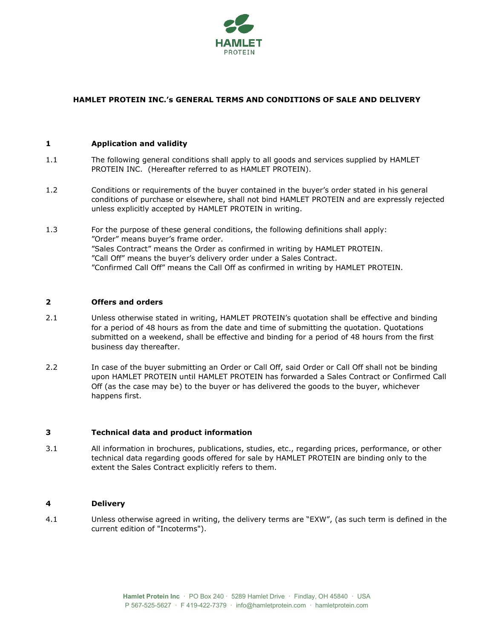

# **HAMLET PROTEIN INC.'s GENERAL TERMS AND CONDITIONS OF SALE AND DELIVERY**

## **1 Application and validity**

- 1.1 The following general conditions shall apply to all goods and services supplied by HAMLET PROTEIN INC. (Hereafter referred to as HAMLET PROTEIN).
- 1.2 Conditions or requirements of the buyer contained in the buyer's order stated in his general conditions of purchase or elsewhere, shall not bind HAMLET PROTEIN and are expressly rejected unless explicitly accepted by HAMLET PROTEIN in writing.
- 1.3 For the purpose of these general conditions, the following definitions shall apply: "Order" means buyer's frame order. "Sales Contract" means the Order as confirmed in writing by HAMLET PROTEIN. "Call Off" means the buyer's delivery order under a Sales Contract. "Confirmed Call Off" means the Call Off as confirmed in writing by HAMLET PROTEIN.

# **2 Offers and orders**

- 2.1 Unless otherwise stated in writing, HAMLET PROTEIN's quotation shall be effective and binding for a period of 48 hours as from the date and time of submitting the quotation. Quotations submitted on a weekend, shall be effective and binding for a period of 48 hours from the first business day thereafter.
- 2.2 In case of the buyer submitting an Order or Call Off, said Order or Call Off shall not be binding upon HAMLET PROTEIN until HAMLET PROTEIN has forwarded a Sales Contract or Confirmed Call Off (as the case may be) to the buyer or has delivered the goods to the buyer, whichever happens first.

#### **3 Technical data and product information**

3.1 All information in brochures, publications, studies, etc., regarding prices, performance, or other technical data regarding goods offered for sale by HAMLET PROTEIN are binding only to the extent the Sales Contract explicitly refers to them.

### **4 Delivery**

4.1 Unless otherwise agreed in writing, the delivery terms are "EXW", (as such term is defined in the current edition of "Incoterms").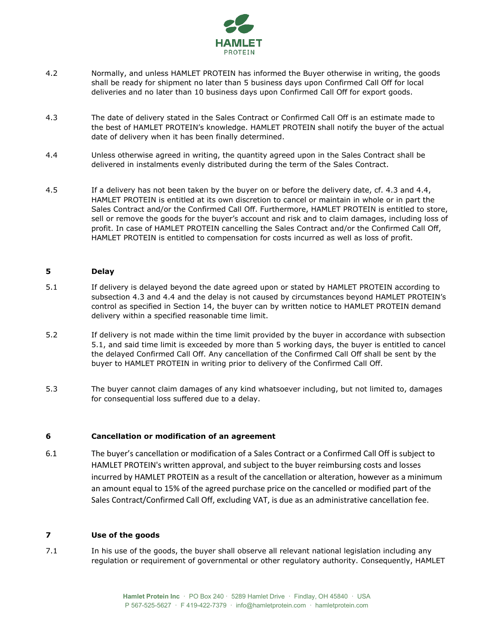

- 4.2 Normally, and unless HAMLET PROTEIN has informed the Buyer otherwise in writing, the goods shall be ready for shipment no later than 5 business days upon Confirmed Call Off for local deliveries and no later than 10 business days upon Confirmed Call Off for export goods.
- 4.3 The date of delivery stated in the Sales Contract or Confirmed Call Off is an estimate made to the best of HAMLET PROTEIN's knowledge. HAMLET PROTEIN shall notify the buyer of the actual date of delivery when it has been finally determined.
- 4.4 Unless otherwise agreed in writing, the quantity agreed upon in the Sales Contract shall be delivered in instalments evenly distributed during the term of the Sales Contract.
- 4.5 If a delivery has not been taken by the buyer on or before the delivery date, cf. 4.3 and 4.4, HAMLET PROTEIN is entitled at its own discretion to cancel or maintain in whole or in part the Sales Contract and/or the Confirmed Call Off. Furthermore, HAMLET PROTEIN is entitled to store, sell or remove the goods for the buyer's account and risk and to claim damages, including loss of profit. In case of HAMLET PROTEIN cancelling the Sales Contract and/or the Confirmed Call Off, HAMLET PROTEIN is entitled to compensation for costs incurred as well as loss of profit.

## **5 Delay**

- <span id="page-1-0"></span>5.1 If delivery is delayed beyond the date agreed upon or stated by HAMLET PROTEIN according to subsection 4.3 and 4.4 and the delay is not caused by circumstances beyond HAMLET PROTEIN's control as specified in Section [14,](#page-4-0) the buyer can by written notice to HAMLET PROTEIN demand delivery within a specified reasonable time limit.
- 5.2 If delivery is not made within the time limit provided by the buyer in accordance with subsection [5.1,](#page-1-0) and said time limit is exceeded by more than 5 working days, the buyer is entitled to cancel the delayed Confirmed Call Off. Any cancellation of the Confirmed Call Off shall be sent by the buyer to HAMLET PROTEIN in writing prior to delivery of the Confirmed Call Off.
- 5.3 The buyer cannot claim damages of any kind whatsoever including, but not limited to, damages for consequential loss suffered due to a delay.

#### **6 Cancellation or modification of an agreement**

6.1 The buyer's cancellation or modification of a Sales Contract or a Confirmed Call Off is subject to HAMLET PROTEIN's written approval, and subject to the buyer reimbursing costs and losses incurred by HAMLET PROTEIN as a result of the cancellation or alteration, however as a minimum an amount equal to 15% of the agreed purchase price on the cancelled or modified part of the Sales Contract/Confirmed Call Off, excluding VAT, is due as an administrative cancellation fee.

#### **7 Use of the goods**

7.1 In his use of the goods, the buyer shall observe all relevant national legislation including any regulation or requirement of governmental or other regulatory authority. Consequently, HAMLET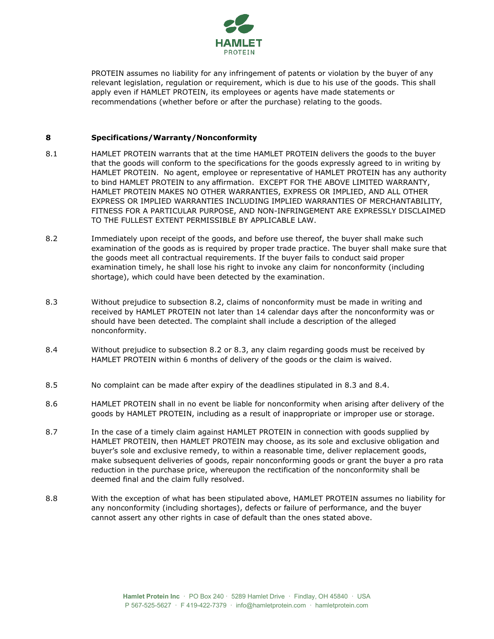

PROTEIN assumes no liability for any infringement of patents or violation by the buyer of any relevant legislation, regulation or requirement, which is due to his use of the goods. This shall apply even if HAMLET PROTEIN, its employees or agents have made statements or recommendations (whether before or after the purchase) relating to the goods.

## **8 Specifications/Warranty/Nonconformity**

- 8.1 HAMLET PROTEIN warrants that at the time HAMLET PROTEIN delivers the goods to the buyer that the goods will conform to the specifications for the goods expressly agreed to in writing by HAMLET PROTEIN. No agent, employee or representative of HAMLET PROTEIN has any authority to bind HAMLET PROTEIN to any affirmation. EXCEPT FOR THE ABOVE LIMITED WARRANTY, HAMLET PROTEIN MAKES NO OTHER WARRANTIES, EXPRESS OR IMPLIED, AND ALL OTHER EXPRESS OR IMPLIED WARRANTIES INCLUDING IMPLIED WARRANTIES OF MERCHANTABILITY, FITNESS FOR A PARTICULAR PURPOSE, AND NON-INFRINGEMENT ARE EXPRESSLY DISCLAIMED TO THE FULLEST EXTENT PERMISSIBLE BY APPLICABLE LAW.
- 8.2 Immediately upon receipt of the goods, and before use thereof, the buyer shall make such examination of the goods as is required by proper trade practice. The buyer shall make sure that the goods meet all contractual requirements. If the buyer fails to conduct said proper examination timely, he shall lose his right to invoke any claim for nonconformity (including shortage), which could have been detected by the examination.
- <span id="page-2-0"></span>8.3 Without prejudice to subsection 8.2, claims of nonconformity must be made in writing and received by HAMLET PROTEIN not later than 14 calendar days after the nonconformity was or should have been detected. The complaint shall include a description of the alleged nonconformity.
- <span id="page-2-1"></span>8.4 Without prejudice to subsection 8.2 or 8.3, any claim regarding goods must be received by HAMLET PROTEIN within 6 months of delivery of the goods or the claim is waived.
- 8.5 No complaint can be made after expiry of the deadlines stipulated in [8.3](#page-2-0) and [8.4.](#page-2-1)
- 8.6 HAMLET PROTEIN shall in no event be liable for nonconformity when arising after delivery of the goods by HAMLET PROTEIN, including as a result of inappropriate or improper use or storage.
- 8.7 In the case of a timely claim against HAMLET PROTEIN in connection with goods supplied by HAMLET PROTEIN, then HAMLET PROTEIN may choose, as its sole and exclusive obligation and buyer's sole and exclusive remedy, to within a reasonable time, deliver replacement goods, make subsequent deliveries of goods, repair nonconforming goods or grant the buyer a pro rata reduction in the purchase price, whereupon the rectification of the nonconformity shall be deemed final and the claim fully resolved.
- 8.8 With the exception of what has been stipulated above, HAMLET PROTEIN assumes no liability for any nonconformity (including shortages), defects or failure of performance, and the buyer cannot assert any other rights in case of default than the ones stated above.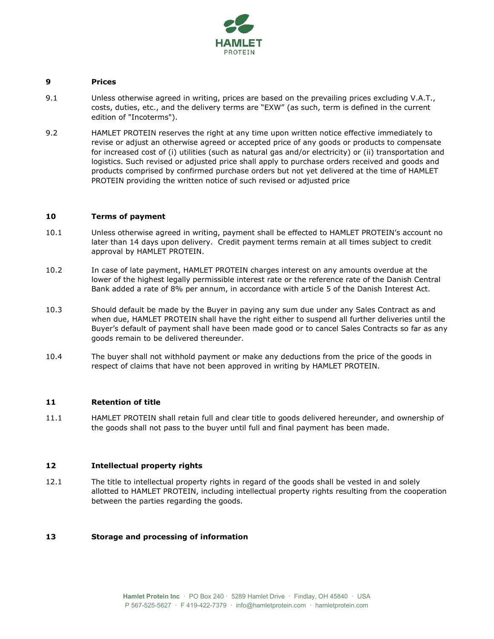

## **9 Prices**

- 9.1 Unless otherwise agreed in writing, prices are based on the prevailing prices excluding V.A.T., costs, duties, etc., and the delivery terms are "EXW" (as such, term is defined in the current edition of "Incoterms").
- 9.2 HAMLET PROTEIN reserves the right at any time upon written notice effective immediately to revise or adjust an otherwise agreed or accepted price of any goods or products to compensate for increased cost of (i) utilities (such as natural gas and/or electricity) or (ii) transportation and logistics. Such revised or adjusted price shall apply to purchase orders received and goods and products comprised by confirmed purchase orders but not yet delivered at the time of HAMLET PROTEIN providing the written notice of such revised or adjusted price

### **10 Terms of payment**

- 10.1 Unless otherwise agreed in writing, payment shall be effected to HAMLET PROTEIN's account no later than 14 days upon delivery. Credit payment terms remain at all times subject to credit approval by HAMLET PROTEIN.
- 10.2 In case of late payment, HAMLET PROTEIN charges interest on any amounts overdue at the lower of the highest legally permissible interest rate or the reference rate of the Danish Central Bank added a rate of 8% per annum, in accordance with article 5 of the Danish Interest Act.
- 10.3 Should default be made by the Buyer in paying any sum due under any Sales Contract as and when due, HAMLET PROTEIN shall have the right either to suspend all further deliveries until the Buyer's default of payment shall have been made good or to cancel Sales Contracts so far as any goods remain to be delivered thereunder.
- 10.4 The buyer shall not withhold payment or make any deductions from the price of the goods in respect of claims that have not been approved in writing by HAMLET PROTEIN.

#### **11 Retention of title**

11.1 HAMLET PROTEIN shall retain full and clear title to goods delivered hereunder, and ownership of the goods shall not pass to the buyer until full and final payment has been made.

# **12 Intellectual property rights**

12.1 The title to intellectual property rights in regard of the goods shall be vested in and solely allotted to HAMLET PROTEIN, including intellectual property rights resulting from the cooperation between the parties regarding the goods.

# **13 Storage and processing of information**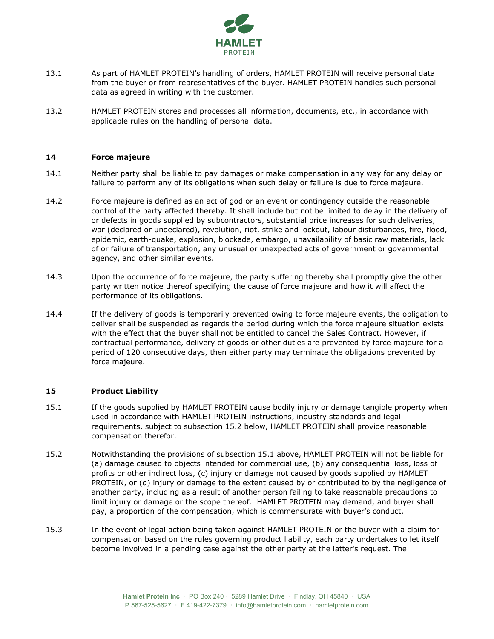

- 13.1 As part of HAMLET PROTEIN's handling of orders, HAMLET PROTEIN will receive personal data from the buyer or from representatives of the buyer. HAMLET PROTEIN handles such personal data as agreed in writing with the customer.
- 13.2 HAMLET PROTEIN stores and processes all information, documents, etc., in accordance with applicable rules on the handling of personal data.

## <span id="page-4-0"></span>**14 Force majeure**

- 14.1 Neither party shall be liable to pay damages or make compensation in any way for any delay or failure to perform any of its obligations when such delay or failure is due to force majeure.
- 14.2 Force majeure is defined as an act of god or an event or contingency outside the reasonable control of the party affected thereby. It shall include but not be limited to delay in the delivery of or defects in goods supplied by subcontractors, substantial price increases for such deliveries, war (declared or undeclared), revolution, riot, strike and lockout, labour disturbances, fire, flood, epidemic, earth-quake, explosion, blockade, embargo, unavailability of basic raw materials, lack of or failure of transportation, any unusual or unexpected acts of government or governmental agency, and other similar events.
- 14.3 Upon the occurrence of force majeure, the party suffering thereby shall promptly give the other party written notice thereof specifying the cause of force majeure and how it will affect the performance of its obligations.
- 14.4 If the delivery of goods is temporarily prevented owing to force majeure events, the obligation to deliver shall be suspended as regards the period during which the force majeure situation exists with the effect that the buyer shall not be entitled to cancel the Sales Contract. However, if contractual performance, delivery of goods or other duties are prevented by force majeure for a period of 120 consecutive days, then either party may terminate the obligations prevented by force majeure.

#### **15 Product Liability**

- <span id="page-4-2"></span>15.1 If the goods supplied by HAMLET PROTEIN cause bodily injury or damage tangible property when used in accordance with HAMLET PROTEIN instructions, industry standards and legal requirements, subject to subsection [15.2](#page-4-1) below, HAMLET PROTEIN shall provide reasonable compensation therefor.
- <span id="page-4-1"></span>15.2 Notwithstanding the provisions of subsection [15.1](#page-4-2) above, HAMLET PROTEIN will not be liable for (a) damage caused to objects intended for commercial use, (b) any consequential loss, loss of profits or other indirect loss, (c) injury or damage not caused by goods supplied by HAMLET PROTEIN, or (d) injury or damage to the extent caused by or contributed to by the negligence of another party, including as a result of another person failing to take reasonable precautions to limit injury or damage or the scope thereof. HAMLET PROTEIN may demand, and buyer shall pay, a proportion of the compensation, which is commensurate with buyer's conduct.
- 15.3 In the event of legal action being taken against HAMLET PROTEIN or the buyer with a claim for compensation based on the rules governing product liability, each party undertakes to let itself become involved in a pending case against the other party at the latter's request. The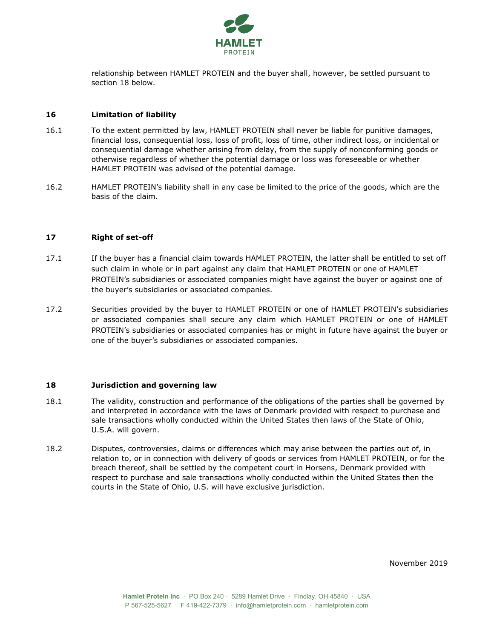

relationship between HAMLET PROTEIN and the buyer shall, however, be settled pursuant to section [18](#page-5-0) below.

## **16 Limitation of liability**

- 16.1 To the extent permitted by law, HAMLET PROTEIN shall never be liable for punitive damages, financial loss, consequential loss, loss of profit, loss of time, other indirect loss, or incidental or consequential damage whether arising from delay, from the supply of nonconforming goods or otherwise regardless of whether the potential damage or loss was foreseeable or whether HAMLET PROTEIN was advised of the potential damage.
- 16.2 HAMLET PROTEIN's liability shall in any case be limited to the price of the goods, which are the basis of the claim.

### **17 Right of set-off**

- 17.1 If the buyer has a financial claim towards HAMLET PROTEIN, the latter shall be entitled to set off such claim in whole or in part against any claim that HAMLET PROTEIN or one of HAMLET PROTEIN's subsidiaries or associated companies might have against the buyer or against one of the buyer's subsidiaries or associated companies.
- 17.2 Securities provided by the buyer to HAMLET PROTEIN or one of HAMLET PROTEIN's subsidiaries or associated companies shall secure any claim which HAMLET PROTEIN or one of HAMLET PROTEIN's subsidiaries or associated companies has or might in future have against the buyer or one of the buyer's subsidiaries or associated companies.

#### <span id="page-5-0"></span>**18 Jurisdiction and governing law**

- 18.1 The validity, construction and performance of the obligations of the parties shall be governed by and interpreted in accordance with the laws of Denmark provided with respect to purchase and sale transactions wholly conducted within the United States then laws of the State of Ohio, U.S.A. will govern.
- 18.2 Disputes, controversies, claims or differences which may arise between the parties out of, in relation to, or in connection with delivery of goods or services from HAMLET PROTEIN, or for the breach thereof, shall be settled by the competent court in Horsens, Denmark provided with respect to purchase and sale transactions wholly conducted within the United States then the courts in the State of Ohio, U.S. will have exclusive jurisdiction.

November 2019